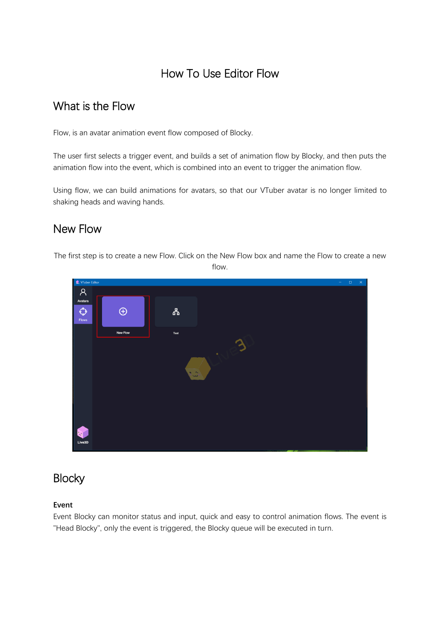# How To Use Editor Flow

## What is the Flow

Flow, is an avatar animation event flow composed of Blocky.

The user first selects a trigger event, and builds a set of animation flow by Blocky, and then puts the animation flow into the event, which is combined into an event to trigger the animation flow.

Using flow, we can build animations for avatars, so that our VTuber avatar is no longer limited to shaking heads and waving hands.

## New Flow

The first step is to create a new Flow. Click on the New Flow box and name the Flow to create a new

flow.



# **Blocky**

### **Event**

Event Blocky can monitor status and input, quick and easy to control animation flows. The event is "Head Blocky", only the event is triggered, the Blocky queue will be executed in turn.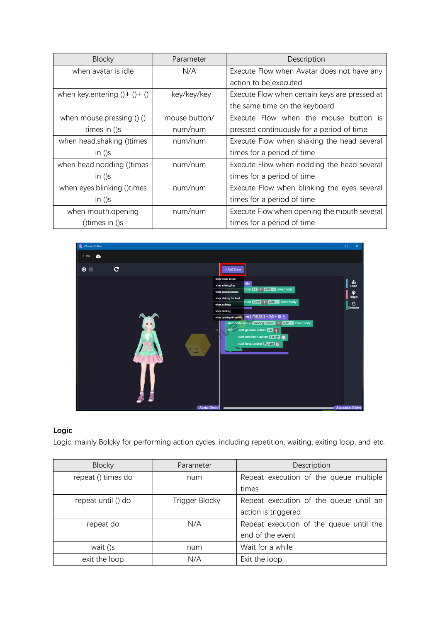| <b>Blocky</b>                    | Parameter     | Description                                   |
|----------------------------------|---------------|-----------------------------------------------|
| when avatar is idle              | N/A           | Execute Flow when Avatar does not have any    |
|                                  |               | action to be executed                         |
| when key.entering $() + () + ()$ | key/key/key   | Execute Flow when certain keys are pressed at |
|                                  |               | the same time on the keyboard                 |
| when mouse pressing $()()$       | mouse button/ | Execute Flow when the mouse button is         |
| times in ()s                     | num/num       | pressed continuously for a period of time     |
| when head shaking () times       | num/num       | Execute Flow when shaking the head several    |
| in $()s$                         |               | times for a period of time                    |
| when head nodding () times       | num/num       | Execute Flow when nodding the head several    |
| in $()s$                         |               | times for a period of time                    |
| when eyes.blinking ()times       | num/num       | Execute Flow when blinking the eyes several   |
| in $()s$                         |               | times for a period of time                    |
| when mouth opening               | num/num       | Execute Flow when opening the mouth several   |
| ()times in ()s                   |               | times for a period of time                    |



### **Logic**

Logic, mainly Bolcky for performing action cycles, including repetition, waiting, exiting loop, and etc.

| <b>Blocky</b>      | Parameter      | Description                             |
|--------------------|----------------|-----------------------------------------|
| repeat () times do | num            | Repeat execution of the queue multiple  |
|                    |                | times                                   |
| repeat until () do | Trigger Blocky | Repeat execution of the queue until an  |
|                    |                | action is triggered                     |
| repeat do          | N/A            | Repeat execution of the queue until the |
|                    |                | end of the event                        |
| wait ()s           | num            | Wait for a while                        |
| exit the loop      | N/A            | Exit the loop                           |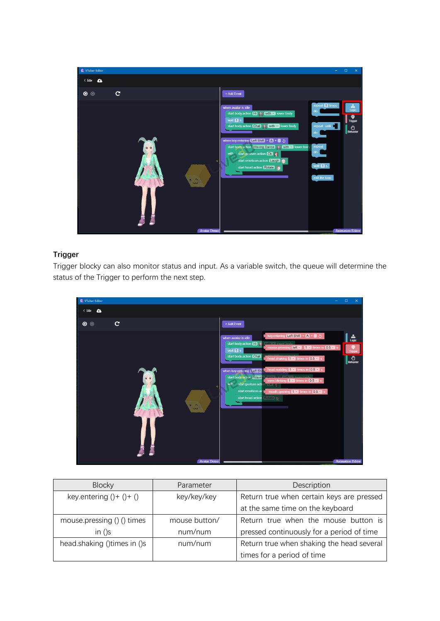

### **Trigger**

Trigger blocky can also monitor status and input. As a variable switch, the queue will determine the status of the Trigger to perform the next step.



| <b>Blocky</b>               | Parameter     | Description                               |
|-----------------------------|---------------|-------------------------------------------|
| key.entering $() + () + ()$ | key/key/key   | Return true when certain keys are pressed |
|                             |               | at the same time on the keyboard          |
| mouse pressing $()()$ times | mouse button/ | Return true when the mouse button is      |
| in $()s$                    | num/num       | pressed continuously for a period of time |
| head.shaking ()times in ()s | num/num       | Return true when shaking the head several |
|                             |               | times for a period of time                |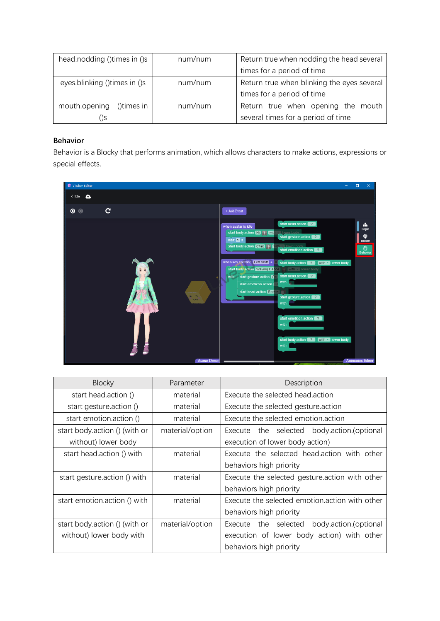| head.nodding () times in ()s  | num/num | Return true when nodding the head several  |
|-------------------------------|---------|--------------------------------------------|
|                               |         | times for a period of time                 |
| eyes.blinking () times in ()s | num/num | Return true when blinking the eyes several |
|                               |         | times for a period of time                 |
| mouth.opening<br>()times in   | num/num | Return true when opening the mouth         |
| )S                            |         | several times for a period of time         |

#### **Behavior**

Behavior is a Blocky that performs animation, which allows characters to make actions, expressions or special effects.



| <b>Blocky</b>                 | Parameter       | Description                                    |
|-------------------------------|-----------------|------------------------------------------------|
| start head.action ()          | material        | Execute the selected head action               |
| start gesture action ()       | material        | Execute the selected gesture action            |
| start emotion.action ()       | material        | Execute the selected emotion action            |
| start body.action () (with or | material/option | Execute the selected body.action.(optional     |
| without) lower body           |                 | execution of lower body action)                |
| start head.action () with     | material        | Execute the selected head.action with other    |
|                               |                 | behaviors high priority                        |
| start gesture action () with  | material        | Execute the selected gesture action with other |
|                               |                 | behaviors high priority                        |
| start emotion action () with  | material        | Execute the selected emotion action with other |
|                               |                 | behaviors high priority                        |
| start body.action () (with or | material/option | Execute the selected<br>body.action.(optional  |
| without) lower body with      |                 | execution of lower body action) with other     |
|                               |                 | behaviors high priority                        |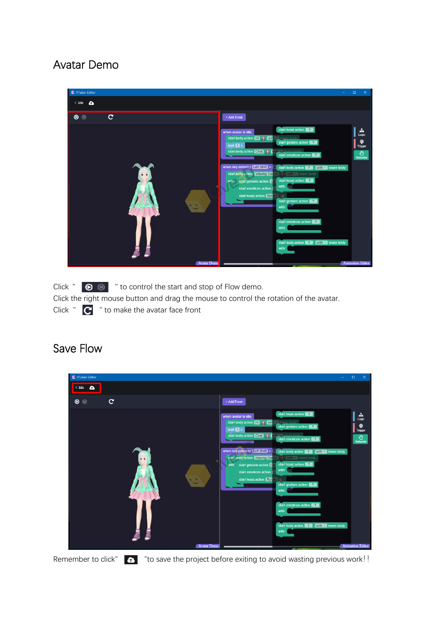# Avatar Demo



Click "  $\bullet$   $\bullet$  " to control the start and stop of Flow demo. Click the right mouse button and drag the mouse to control the rotation of the avatar. Click  $"$   $\mathbb{C}$   $"$  to make the avatar face front

## Save Flow



Remember to click"  $\bullet$  "to save the project before exiting to avoid wasting previous work!!